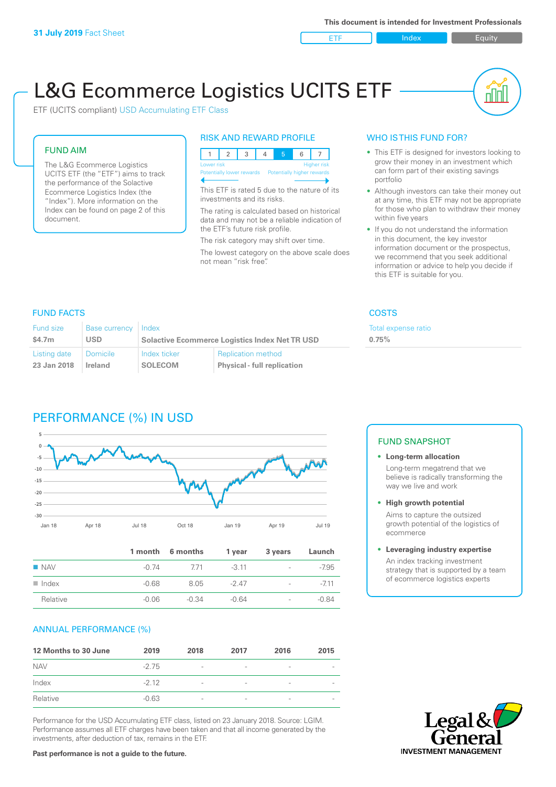ETF Index Builty

nn

# L&G Ecommerce Logistics UCITS ETF

ETF (UCITS compliant) USD Accumulating ETF Class

#### FUND AIM

The L&G Ecommerce Logistics UCITS ETF (the "ETF") aims to track the performance of the Solactive Ecommerce Logistics Index (the "Index"). More information on the Index can be found on page 2 of this document.

#### RISK AND REWARD PROFILE



This ETF is rated 5 due to the nature of its investments and its risks.

The rating is calculated based on historical data and may not be a reliable indication of the ETF's future risk profile.

The risk category may shift over time. The lowest category on the above scale does not mean "risk free".

#### WHO IS THIS FUND FOR?

- This ETF is designed for investors looking to grow their money in an investment which can form part of their existing savings portfolio
- Although investors can take their money out at any time, this ETF may not be appropriate for those who plan to withdraw their money within five years
- If you do not understand the information in this document, the key investor information document or the prospectus, we recommend that you seek additional information or advice to help you decide if this ETF is suitable for you.

**0.75%**

Total expense ratio

#### FUND FACTS COSTS

| Fund size<br>\$4.7m | Base currency<br>USD | Index<br><b>Solactive Ecommerce Logistics Index Net TR USD</b> |                                    |  |
|---------------------|----------------------|----------------------------------------------------------------|------------------------------------|--|
|                     |                      |                                                                |                                    |  |
| Listing date        | l Domicile           | Index ticker                                                   | <b>Replication method</b>          |  |
| 23 Jan 2018         | Ireland              | <b>SOLECOM</b>                                                 | <b>Physical - full replication</b> |  |

# PERFORMANCE (%) IN USD



|                      |         | 1 month 6 months | 1 year  | 3 years                  | Launch  |
|----------------------|---------|------------------|---------|--------------------------|---------|
| $\blacksquare$ NAV   | -0.74   | 771              | $-3.11$ | $\sim$                   | $-7.95$ |
| $\blacksquare$ Index | -0.68   | 8.05             | $-247$  | $\overline{\phantom{a}}$ | $-711$  |
| Relative             | $-0.06$ | $-0.34$          | $-0.64$ | $\overline{\phantom{a}}$ | $-0.84$ |

#### ANNUAL PERFORMANCE (%)

| 12 Months to 30 June | 2019    | 2018                     | 2017                     | 2016            | 2015                     |
|----------------------|---------|--------------------------|--------------------------|-----------------|--------------------------|
| <b>NAV</b>           | $-2.75$ | $\overline{\phantom{a}}$ | $\qquad \qquad$          | $\qquad \qquad$ | $\overline{\phantom{a}}$ |
| Index                | $-212$  | $\overline{\phantom{a}}$ | $\overline{\phantom{a}}$ | $\qquad \qquad$ |                          |
| Relative             | $-0.63$ | $\overline{\phantom{a}}$ | $\overline{\phantom{a}}$ | $\qquad \qquad$ |                          |

Performance for the USD Accumulating ETF class, listed on 23 January 2018. Source: LGIM. Performance assumes all ETF charges have been taken and that all income generated by the investments, after deduction of tax, remains in the ETF.

## FUND SNAPSHOT

**• Long-term allocation** Long-term megatrend that we believe is radically transforming the way we live and work

**• High growth potential**

Aims to capture the outsized growth potential of the logistics of ecommerce

#### **• Leveraging industry expertise**

An index tracking investment strategy that is supported by a team of ecommerce logistics experts



**Past performance is not a guide to the future.**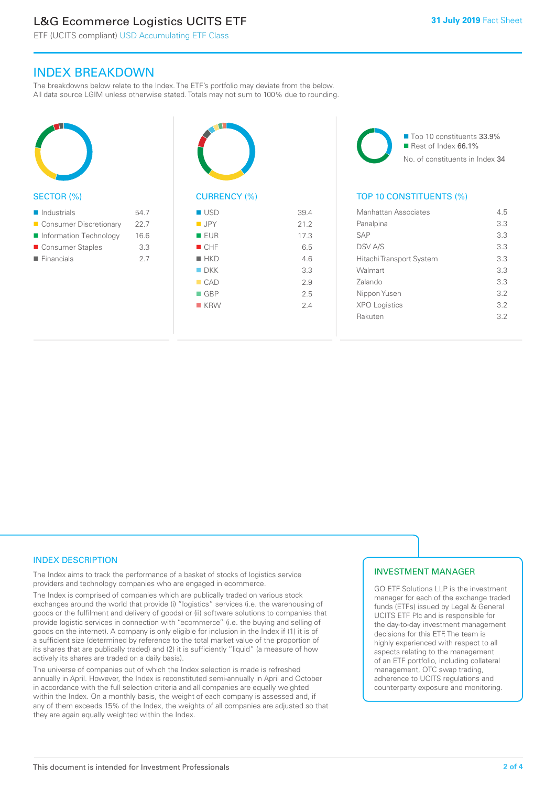# L&G Ecommerce Logistics UCITS ETF

ETF (UCITS compliant) USD Accumulating ETF Class

### INDEX BREAKDOWN

The breakdowns below relate to the Index. The ETF's portfolio may deviate from the below. All data source LGIM unless otherwise stated. Totals may not sum to 100% due to rounding.



#### SECTOR (%)

| $\blacksquare$ Industrials | 547  |
|----------------------------|------|
| ■ Consumer Discretionary   | 22.7 |
| Information Technology     | 16.6 |
| ■ Consumer Staples         | 3.3  |
| $\blacksquare$ Financials  | 2.7  |
|                            |      |



# CURRENCY (%)

| $\blacksquare$ USD | 39.4 |
|--------------------|------|
| $\blacksquare$ JPY | 21.2 |
| ■ EUR              | 17.3 |
| CHF                | 6.5  |
| $H$ HKD            | 4.6  |
| $\blacksquare$ DKK | 3.3  |
| CAD                | 2.9  |
| $\Box$ GBP         | 2.5  |
| $K$ KRW            | 2.4  |
|                    |      |

■ Top 10 constituents 33.9% Rest of Index 66.1% No. of constituents in Index 34

#### TOP 10 CONSTITUENTS (%)

| Manhattan Associates     | 45  |
|--------------------------|-----|
| Panalpina                | 3.3 |
| <b>SAP</b>               | 3.3 |
| <b>DSV A/S</b>           | 3.3 |
| Hitachi Transport System | 3.3 |
| Walmart                  | 3.3 |
| Zalando                  | 3.3 |
| Nippon Yusen             | 32  |
| <b>XPO Logistics</b>     | 32  |
| Rakuten                  | 32  |
|                          |     |

#### INDEX DESCRIPTION

The Index aims to track the performance of a basket of stocks of logistics service providers and technology companies who are engaged in ecommerce.

The Index is comprised of companies which are publically traded on various stock exchanges around the world that provide (i) "logistics" services (i.e. the warehousing of goods or the fulfilment and delivery of goods) or (ii) software solutions to companies that provide logistic services in connection with "ecommerce" (i.e. the buying and selling of goods on the internet). A company is only eligible for inclusion in the Index if (1) it is of a sufficient size (determined by reference to the total market value of the proportion of its shares that are publically traded) and (2) it is sufficiently "liquid" (a measure of how actively its shares are traded on a daily basis).

The universe of companies out of which the Index selection is made is refreshed annually in April. However, the Index is reconstituted semi-annually in April and October in accordance with the full selection criteria and all companies are equally weighted within the Index. On a monthly basis, the weight of each company is assessed and, if any of them exceeds 15% of the Index, the weights of all companies are adjusted so that they are again equally weighted within the Index.

#### INVESTMENT MANAGER

GO ETF Solutions LLP is the investment manager for each of the exchange traded funds (ETFs) issued by Legal & General UCITS ETF Plc and is responsible for the day-to-day investment management decisions for this ETF. The team is highly experienced with respect to all aspects relating to the management of an ETF portfolio, including collateral management, OTC swap trading, adherence to UCITS regulations and counterparty exposure and monitoring.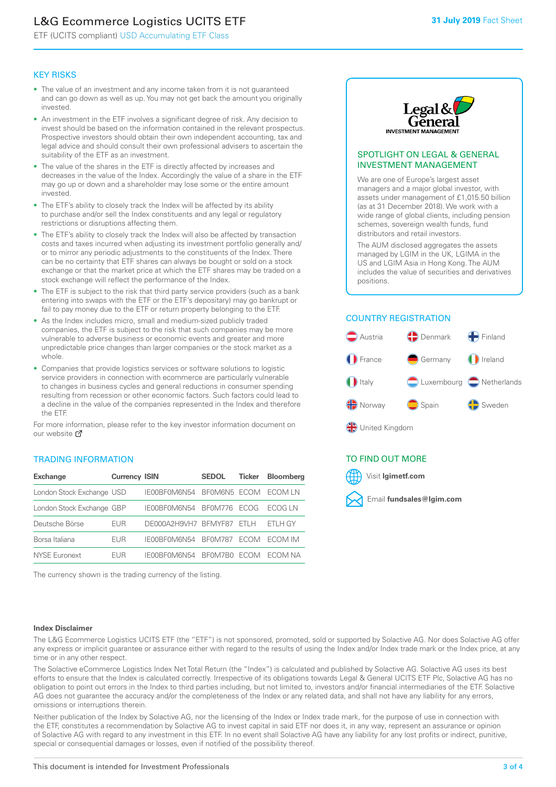# L&G Ecommerce Logistics UCITS ETF

ETF (UCITS compliant) USD Accumulating ETF Class

#### KEY RISKS

- The value of an investment and any income taken from it is not guaranteed and can go down as well as up. You may not get back the amount you originally invested.
- An investment in the ETF involves a significant degree of risk. Any decision to invest should be based on the information contained in the relevant prospectus. Prospective investors should obtain their own independent accounting, tax and legal advice and should consult their own professional advisers to ascertain the suitability of the ETF as an investment.
- The value of the shares in the ETF is directly affected by increases and decreases in the value of the Index. Accordingly the value of a share in the ETF may go up or down and a shareholder may lose some or the entire amount invested.
- The ETF's ability to closely track the Index will be affected by its ability to purchase and/or sell the Index constituents and any legal or regulatory restrictions or disruptions affecting them.
- The ETF's ability to closely track the Index will also be affected by transaction costs and taxes incurred when adjusting its investment portfolio generally and/ or to mirror any periodic adjustments to the constituents of the Index. There can be no certainty that ETF shares can always be bought or sold on a stock exchange or that the market price at which the ETF shares may be traded on a stock exchange will reflect the performance of the Index.
- The ETF is subject to the risk that third party service providers (such as a bank entering into swaps with the ETF or the ETF's depositary) may go bankrupt or fail to pay money due to the ETF or return property belonging to the ETF.
- As the Index includes micro, small and medium-sized publicly traded companies, the ETF is subject to the risk that such companies may be more vulnerable to adverse business or economic events and greater and more unpredictable price changes than larger companies or the stock market as a whole.
- Companies that provide logistics services or software solutions to logistic service providers in connection with ecommerce are particularly vulnerable to changes in business cycles and general reductions in consumer spending resulting from recession or other economic factors. Such factors could lead to a decline in the value of the companies represented in the Index and therefore the ETF.

For more information, please refer to the key investor information document on our website **Z** 

#### TRADING INFORMATION

| <b>Exchange</b>           | <b>Currency ISIN</b> |                      | <b>SEDOL</b>   | <b>Ticker</b> | Bloomberg |
|---------------------------|----------------------|----------------------|----------------|---------------|-----------|
| London Stock Exchange USD |                      | IE00BF0M6N54         | BFOM6N5 ECOM   |               | ECOM IN   |
| London Stock Exchange GBP |                      | IE00BF0M6N54         | BF0M776        | <b>FCOG</b>   | FCOG IN   |
| Deutsche Börse            | EUR                  | DE000A2H9VH7 BFMYF87 |                | FTI H         | ETLH GY   |
| Borsa Italiana            | EUR                  | IE00BF0M6N54         | <b>BF0M787</b> | <b>FCOM</b>   | ECOM IM   |
| NYSE Euronext             | <b>FUR</b>           | IF00BF0M6N54         | BF0M7B0        | <b>ECOM</b>   | FCOM NA   |

The currency shown is the trading currency of the listing.



#### SPOTLIGHT ON LEGAL & GENERAL INVESTMENT MANAGEMENT

We are one of Europe's largest asset managers and a major global investor, with assets under management of £1,015.50 billion (as at 31 December 2018). We work with a wide range of global clients, including pension schemes, sovereign wealth funds, fund distributors and retail investors.

The AUM disclosed aggregates the assets managed by LGIM in the UK, LGIMA in the US and LGIM Asia in Hong Kong. The AUM includes the value of securities and derivatives positions.

### COUNTRY REGISTRATION



#### TO FIND OUT MORE



#### **Index Disclaimer**

The L&G Ecommerce Logistics UCITS ETF (the "ETF") is not sponsored, promoted, sold or supported by Solactive AG. Nor does Solactive AG offer any express or implicit guarantee or assurance either with regard to the results of using the Index and/or Index trade mark or the Index price, at any time or in any other respect.

The Solactive eCommerce Logistics Index Net Total Return (the "Index") is calculated and published by Solactive AG. Solactive AG uses its best efforts to ensure that the Index is calculated correctly. Irrespective of its obligations towards Legal & General UCITS ETF Plc, Solactive AG has no obligation to point out errors in the Index to third parties including, but not limited to, investors and/or financial intermediaries of the ETF. Solactive AG does not guarantee the accuracy and/or the completeness of the Index or any related data, and shall not have any liability for any errors, omissions or interruptions therein.

Neither publication of the Index by Solactive AG, nor the licensing of the Index or Index trade mark, for the purpose of use in connection with the ETF, constitutes a recommendation by Solactive AG to invest capital in said ETF nor does it, in any way, represent an assurance or opinion of Solactive AG with regard to any investment in this ETF. In no event shall Solactive AG have any liability for any lost profits or indirect, punitive, special or consequential damages or losses, even if notified of the possibility thereof.